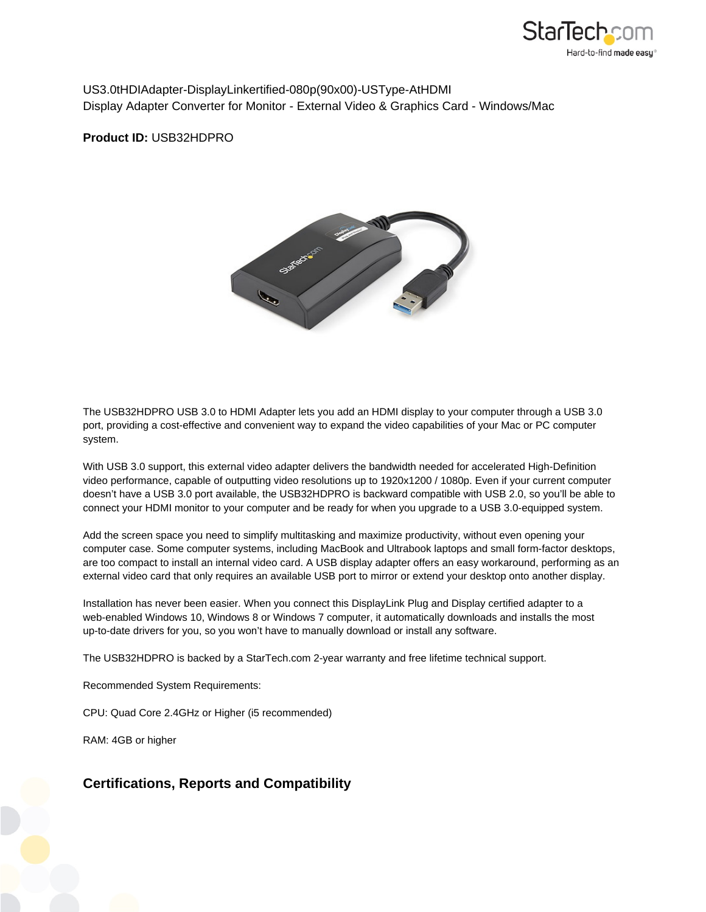

US 3.0 t HD I Adapter - DisplayLink ertified - 080p (90x 00) - US Type-At HDMI Display Adapter Converter for Monitor - External Video & Graphics Card - Windows/Mac

**Product ID:** USB32HDPRO



The USB32HDPRO USB 3.0 to HDMI Adapter lets you add an HDMI display to your computer through a USB 3.0 port, providing a cost-effective and convenient way to expand the video capabilities of your Mac or PC computer system.

With USB 3.0 support, this external video adapter delivers the bandwidth needed for accelerated High-Definition video performance, capable of outputting video resolutions up to 1920x1200 / 1080p. Even if your current computer doesn't have a USB 3.0 port available, the USB32HDPRO is backward compatible with USB 2.0, so you'll be able to connect your HDMI monitor to your computer and be ready for when you upgrade to a USB 3.0-equipped system.

Add the screen space you need to simplify multitasking and maximize productivity, without even opening your computer case. Some computer systems, including MacBook and Ultrabook laptops and small form-factor desktops, are too compact to install an internal video card. A USB display adapter offers an easy workaround, performing as an external video card that only requires an available USB port to mirror or extend your desktop onto another display.

Installation has never been easier. When you connect this DisplayLink Plug and Display certified adapter to a web-enabled Windows 10, Windows 8 or Windows 7 computer, it automatically downloads and installs the most up-to-date drivers for you, so you won't have to manually download or install any software.

The USB32HDPRO is backed by a StarTech.com 2-year warranty and free lifetime technical support.

Recommended System Requirements:

CPU: Quad Core 2.4GHz or Higher (i5 recommended)

RAM: 4GB or higher

## **Certifications, Reports and Compatibility**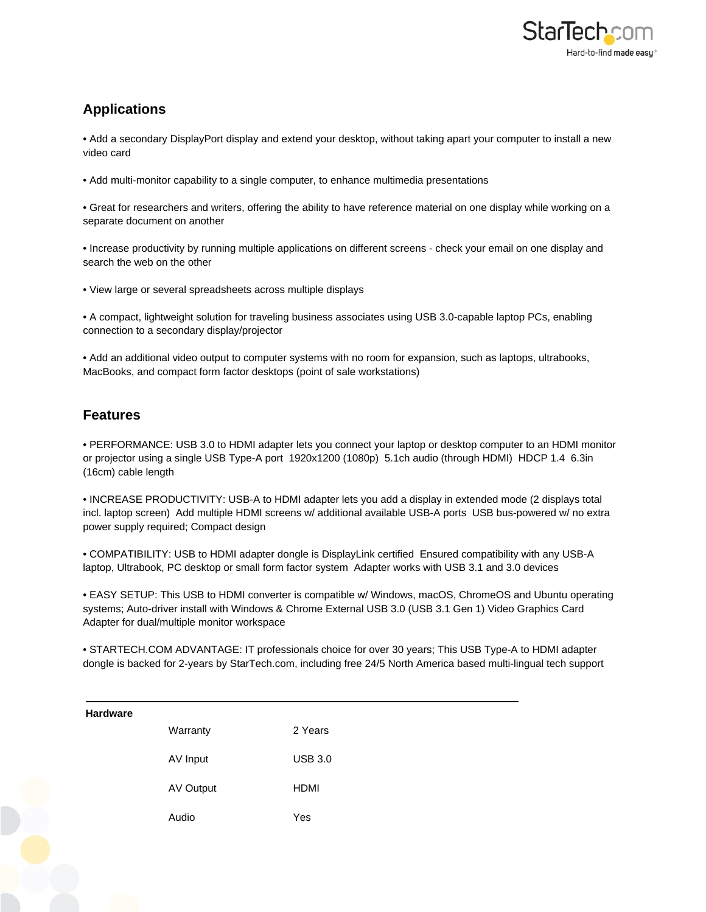

## **Applications**

• Add a secondary DisplayPort display and extend your desktop, without taking apart your computer to install a new video card

• Add multi-monitor capability to a single computer, to enhance multimedia presentations

• Great for researchers and writers, offering the ability to have reference material on one display while working on a separate document on another

• Increase productivity by running multiple applications on different screens - check your email on one display and search the web on the other

• View large or several spreadsheets across multiple displays

• A compact, lightweight solution for traveling business associates using USB 3.0-capable laptop PCs, enabling connection to a secondary display/projector

• Add an additional video output to computer systems with no room for expansion, such as laptops, ultrabooks, MacBooks, and compact form factor desktops (point of sale workstations)

## **Features**

• PERFORMANCE: USB 3.0 to HDMI adapter lets you connect your laptop or desktop computer to an HDMI monitor or projector using a single USB Type-A port 1920x1200 (1080p) 5.1ch audio (through HDMI) HDCP 1.4 6.3in (16cm) cable length

• INCREASE PRODUCTIVITY: USB-A to HDMI adapter lets you add a display in extended mode (2 displays total incl. laptop screen) Add multiple HDMI screens w/ additional available USB-A ports USB bus-powered w/ no extra power supply required; Compact design

• COMPATIBILITY: USB to HDMI adapter dongle is DisplayLink certified Ensured compatibility with any USB-A laptop, Ultrabook, PC desktop or small form factor system Adapter works with USB 3.1 and 3.0 devices

• EASY SETUP: This USB to HDMI converter is compatible w/ Windows, macOS, ChromeOS and Ubuntu operating systems; Auto-driver install with Windows & Chrome External USB 3.0 (USB 3.1 Gen 1) Video Graphics Card Adapter for dual/multiple monitor workspace

• STARTECH.COM ADVANTAGE: IT professionals choice for over 30 years; This USB Type-A to HDMI adapter dongle is backed for 2-years by StarTech.com, including free 24/5 North America based multi-lingual tech support

| <b>Hardware</b> |           |                |
|-----------------|-----------|----------------|
|                 | Warranty  | 2 Years        |
|                 | AV Input  | <b>USB 3.0</b> |
|                 | AV Output | <b>HDMI</b>    |
|                 | Audio     | Yes            |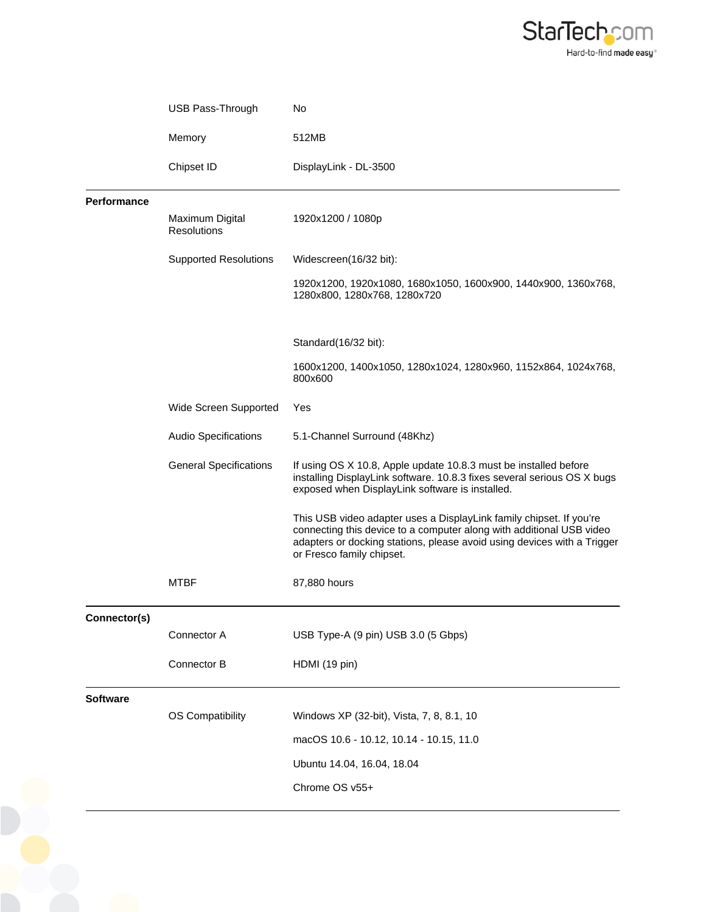

|                    | USB Pass-Through               | No                                                                                                                                                                                                                                                  |
|--------------------|--------------------------------|-----------------------------------------------------------------------------------------------------------------------------------------------------------------------------------------------------------------------------------------------------|
|                    | Memory                         | 512MB                                                                                                                                                                                                                                               |
|                    | Chipset ID                     | DisplayLink - DL-3500                                                                                                                                                                                                                               |
| <b>Performance</b> |                                |                                                                                                                                                                                                                                                     |
|                    | Maximum Digital<br>Resolutions | 1920x1200 / 1080p                                                                                                                                                                                                                                   |
|                    | <b>Supported Resolutions</b>   | Widescreen(16/32 bit):                                                                                                                                                                                                                              |
|                    |                                | 1920x1200, 1920x1080, 1680x1050, 1600x900, 1440x900, 1360x768,<br>1280x800, 1280x768, 1280x720                                                                                                                                                      |
|                    |                                | Standard(16/32 bit):                                                                                                                                                                                                                                |
|                    |                                | 1600x1200, 1400x1050, 1280x1024, 1280x960, 1152x864, 1024x768,<br>800x600                                                                                                                                                                           |
|                    | Wide Screen Supported          | Yes                                                                                                                                                                                                                                                 |
|                    | <b>Audio Specifications</b>    | 5.1-Channel Surround (48Khz)                                                                                                                                                                                                                        |
|                    | <b>General Specifications</b>  | If using OS X 10.8, Apple update 10.8.3 must be installed before<br>installing DisplayLink software. 10.8.3 fixes several serious OS X bugs<br>exposed when DisplayLink software is installed.                                                      |
|                    |                                | This USB video adapter uses a DisplayLink family chipset. If you're<br>connecting this device to a computer along with additional USB video<br>adapters or docking stations, please avoid using devices with a Trigger<br>or Fresco family chipset. |
|                    | <b>MTBF</b>                    | 87,880 hours                                                                                                                                                                                                                                        |
| Connector(s)       |                                |                                                                                                                                                                                                                                                     |
|                    | Connector A                    | USB Type-A (9 pin) USB 3.0 (5 Gbps)                                                                                                                                                                                                                 |
|                    | Connector B                    | HDMI (19 pin)                                                                                                                                                                                                                                       |
| <b>Software</b>    |                                |                                                                                                                                                                                                                                                     |
|                    | <b>OS Compatibility</b>        | Windows XP (32-bit), Vista, 7, 8, 8.1, 10                                                                                                                                                                                                           |
|                    |                                | macOS 10.6 - 10.12, 10.14 - 10.15, 11.0                                                                                                                                                                                                             |
|                    |                                | Ubuntu 14.04, 16.04, 18.04                                                                                                                                                                                                                          |
|                    |                                | Chrome OS v55+                                                                                                                                                                                                                                      |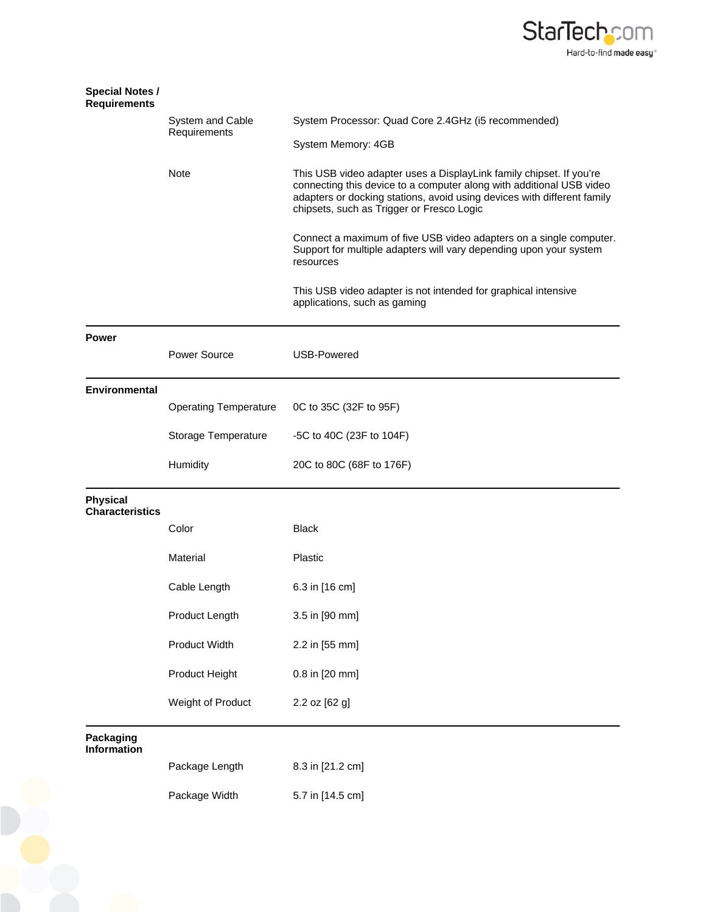

| <b>Special Notes /</b><br><b>Requirements</b> |                                  |                                                                                                                                                                                                                                                                     |
|-----------------------------------------------|----------------------------------|---------------------------------------------------------------------------------------------------------------------------------------------------------------------------------------------------------------------------------------------------------------------|
|                                               | System and Cable<br>Requirements | System Processor: Quad Core 2.4GHz (i5 recommended)                                                                                                                                                                                                                 |
|                                               |                                  | System Memory: 4GB                                                                                                                                                                                                                                                  |
|                                               | Note                             | This USB video adapter uses a DisplayLink family chipset. If you're<br>connecting this device to a computer along with additional USB video<br>adapters or docking stations, avoid using devices with different family<br>chipsets, such as Trigger or Fresco Logic |
|                                               |                                  | Connect a maximum of five USB video adapters on a single computer.<br>Support for multiple adapters will vary depending upon your system<br>resources                                                                                                               |
|                                               |                                  | This USB video adapter is not intended for graphical intensive<br>applications, such as gaming                                                                                                                                                                      |
| <b>Power</b>                                  |                                  |                                                                                                                                                                                                                                                                     |
|                                               | Power Source                     | <b>USB-Powered</b>                                                                                                                                                                                                                                                  |
| <b>Environmental</b>                          |                                  |                                                                                                                                                                                                                                                                     |
|                                               | <b>Operating Temperature</b>     | 0C to 35C (32F to 95F)                                                                                                                                                                                                                                              |
|                                               | Storage Temperature              | -5C to 40C (23F to 104F)                                                                                                                                                                                                                                            |
|                                               | Humidity                         | 20C to 80C (68F to 176F)                                                                                                                                                                                                                                            |
| <b>Physical</b><br><b>Characteristics</b>     |                                  |                                                                                                                                                                                                                                                                     |
|                                               | Color                            | <b>Black</b>                                                                                                                                                                                                                                                        |
|                                               | Material                         | Plastic                                                                                                                                                                                                                                                             |
|                                               | Cable Length                     | 6.3 in [16 cm]                                                                                                                                                                                                                                                      |
|                                               | Product Length                   | 3.5 in [90 mm]                                                                                                                                                                                                                                                      |
|                                               | Product Width                    | 2.2 in [55 mm]                                                                                                                                                                                                                                                      |
|                                               |                                  |                                                                                                                                                                                                                                                                     |
|                                               | Product Height                   | 0.8 in [20 mm]                                                                                                                                                                                                                                                      |
|                                               | Weight of Product                | 2.2 oz [62 g]                                                                                                                                                                                                                                                       |
| Packaging<br><b>Information</b>               |                                  |                                                                                                                                                                                                                                                                     |
|                                               | Package Length                   | 8.3 in [21.2 cm]                                                                                                                                                                                                                                                    |